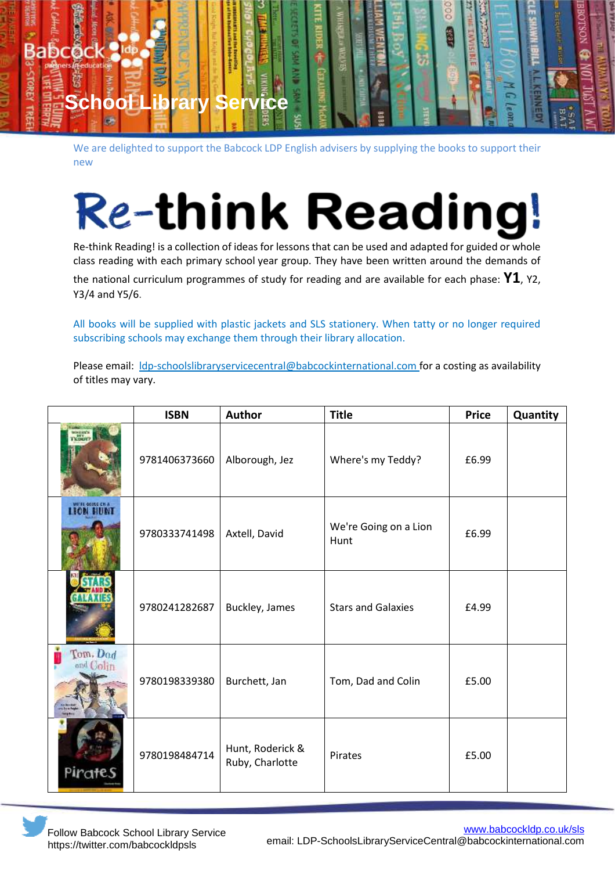

We are delighted to support the Babcock LDP English advisers by supplying the books to support their new

## **Re-think Reading!**

Re-think Reading! is a collection of ideas for lessons that can be used and adapted for guided or whole class reading with each primary school year group. They have been written around the demands of

the national curriculum programmes of study for reading and are available for each phase: **Y1**, Y2, Y3/4 and Y5/6.

All books will be supplied with plastic jackets and SLS stationery. When tatty or no longer required subscribing schools may exchange them through their library allocation.

Please email: Idp-schoolslibraryservicecentral@babcockinternational.com for a costing as availability of titles may vary.

|                  | <b>ISBN</b>   | <b>Author</b>                       | <b>Title</b>                  | <b>Price</b> | Quantity |
|------------------|---------------|-------------------------------------|-------------------------------|--------------|----------|
|                  | 9781406373660 | Alborough, Jez                      | Where's my Teddy?             | £6.99        |          |
| write deuse chia | 9780333741498 | Axtell, David                       | We're Going on a Lion<br>Hunt | £6.99        |          |
|                  | 9780241282687 | Buckley, James                      | <b>Stars and Galaxies</b>     | £4.99        |          |
| Tom. Dod         | 9780198339380 | Burchett, Jan                       | Tom, Dad and Colin            | £5.00        |          |
| Pirates          | 9780198484714 | Hunt, Roderick &<br>Ruby, Charlotte | Pirates                       | £5.00        |          |

Follow Babcock School Library Service https://twitter.com/babcockldpsls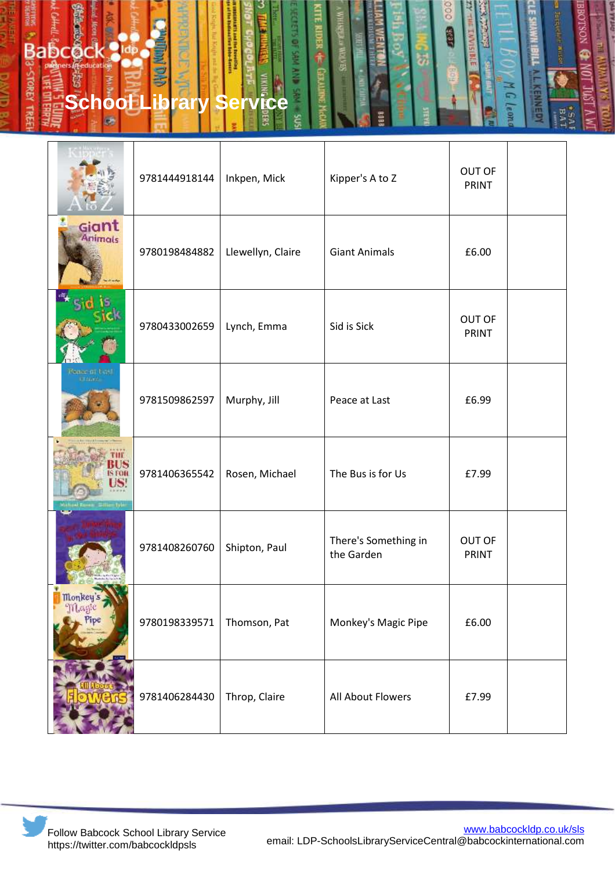

|                                      | 9781444918144 | Inkpen, Mick      | Kipper's A to Z                    | <b>OUT OF</b><br><b>PRINT</b> |  |
|--------------------------------------|---------------|-------------------|------------------------------------|-------------------------------|--|
| Giant<br><b>Animals</b>              | 9780198484882 | Llewellyn, Claire | <b>Giant Animals</b>               | £6.00                         |  |
|                                      | 9780433002659 | Lynch, Emma       | Sid is Sick                        | <b>OUT OF</b><br>PRINT        |  |
| Venue of LCSI<br>U. Stario           | 9781509862597 | Murphy, Jill      | Peace at Last                      | £6.99                         |  |
| Rosen Sille Iyle                     | 9781406365542 | Rosen, Michael    | The Bus is for Us                  | £7.99                         |  |
|                                      | 9781408260760 | Shipton, Paul     | There's Something in<br>the Garden | <b>OUT OF</b><br>PRINT        |  |
| <b>Monkey</b><br>$11$ Postic<br>Pipe | 9780198339571 | Thomson, Pat      | Monkey's Magic Pipe                | £6.00                         |  |
|                                      | 9781406284430 | Throp, Claire     | All About Flowers                  | £7.99                         |  |

Follow Babcock School Library Service https://twitter.com/babcockldpsls